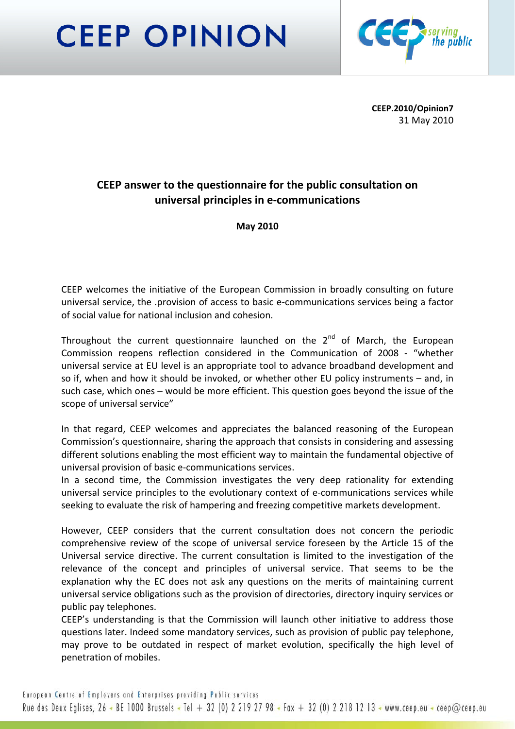# **CEEP OPINION**



**CEEP.2010/Opinion7** 31 May 2010

# **CEEP answer to the questionnaire for the public consultation on universal principles in e‐communications**

**May 2010**

CEEP welcomes the initiative of the European Commission in broadly consulting on future universal service, the .provision of access to basic e‐communications services being a factor of social value for national inclusion and cohesion.

Throughout the current questionnaire launched on the  $2^{nd}$  of March, the European Commission reopens reflection considered in the Communication of 2008 ‐ "whether universal service at EU level is an appropriate tool to advance broadband development and so if, when and how it should be invoked, or whether other EU policy instruments – and, in such case, which ones – would be more efficient. This question goes beyond the issue of the scope of universal service"

In that regard, CEEP welcomes and appreciates the balanced reasoning of the European Commission's questionnaire, sharing the approach that consists in considering and assessing different solutions enabling the most efficient way to maintain the fundamental objective of universal provision of basic e‐communications services.

In a second time, the Commission investigates the very deep rationality for extending universal service principles to the evolutionary context of e‐communications services while seeking to evaluate the risk of hampering and freezing competitive markets development.

However, CEEP considers that the current consultation does not concern the periodic comprehensive review of the scope of universal service foreseen by the Article 15 of the Universal service directive. The current consultation is limited to the investigation of the relevance of the concept and principles of universal service. That seems to be the explanation why the EC does not ask any questions on the merits of maintaining current universal service obligations such as the provision of directories, directory inquiry services or public pay telephones.

CEEP's understanding is that the Commission will launch other initiative to address those questions later. Indeed some mandatory services, such as provision of public pay telephone, may prove to be outdated in respect of market evolution, specifically the high level of penetration of mobiles.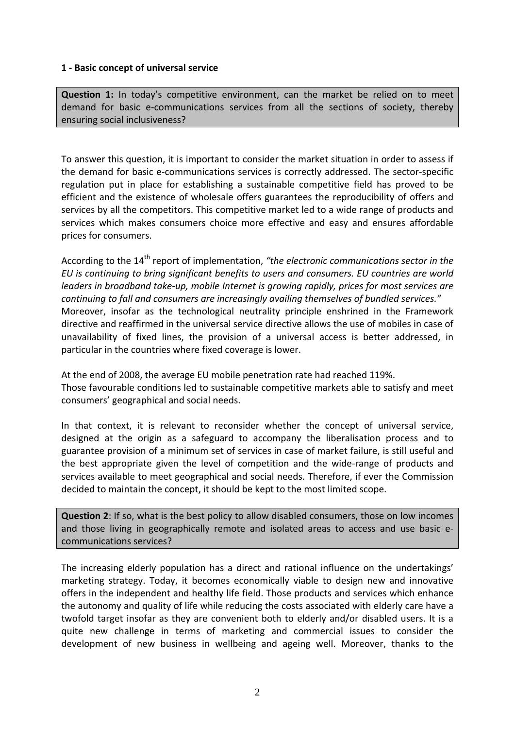#### **1 ‐ Basic concept of universal service**

**Question 1:** In today's competitive environment, can the market be relied on to meet demand for basic e-communications services from all the sections of society, thereby ensuring social inclusiveness?

To answer this question, it is important to consider the market situation in order to assess if the demand for basic e‐communications services is correctly addressed. The sector‐specific regulation put in place for establishing a sustainable competitive field has proved to be efficient and the existence of wholesale offers guarantees the reproducibility of offers and services by all the competitors. This competitive market led to a wide range of products and services which makes consumers choice more effective and easy and ensures affordable prices for consumers.

According to the 14th report of implementation, *"the electronic communications sector in the EU is continuing to bring significant benefits to users and consumers. EU countries are world leaders in broadband take‐up, mobile Internet is growing rapidly, prices for most services are continuing to fall and consumers are increasingly availing themselves of bundled services."* Moreover, insofar as the technological neutrality principle enshrined in the Framework directive and reaffirmed in the universal service directive allows the use of mobiles in case of unavailability of fixed lines, the provision of a universal access is better addressed, in particular in the countries where fixed coverage is lower.

At the end of 2008, the average EU mobile penetration rate had reached 119%. Those favourable conditions led to sustainable competitive markets able to satisfy and meet consumers' geographical and social needs.

In that context, it is relevant to reconsider whether the concept of universal service, designed at the origin as a safeguard to accompany the liberalisation process and to guarantee provision of a minimum set of services in case of market failure, is still useful and the best appropriate given the level of competition and the wide‐range of products and services available to meet geographical and social needs. Therefore, if ever the Commission decided to maintain the concept, it should be kept to the most limited scope.

**Question 2**: If so, what is the best policy to allow disabled consumers, those on low incomes and those living in geographically remote and isolated areas to access and use basic e‐ communications services?

The increasing elderly population has a direct and rational influence on the undertakings' marketing strategy. Today, it becomes economically viable to design new and innovative offers in the independent and healthy life field. Those products and services which enhance the autonomy and quality of life while reducing the costs associated with elderly care have a twofold target insofar as they are convenient both to elderly and/or disabled users. It is a quite new challenge in terms of marketing and commercial issues to consider the development of new business in wellbeing and ageing well. Moreover, thanks to the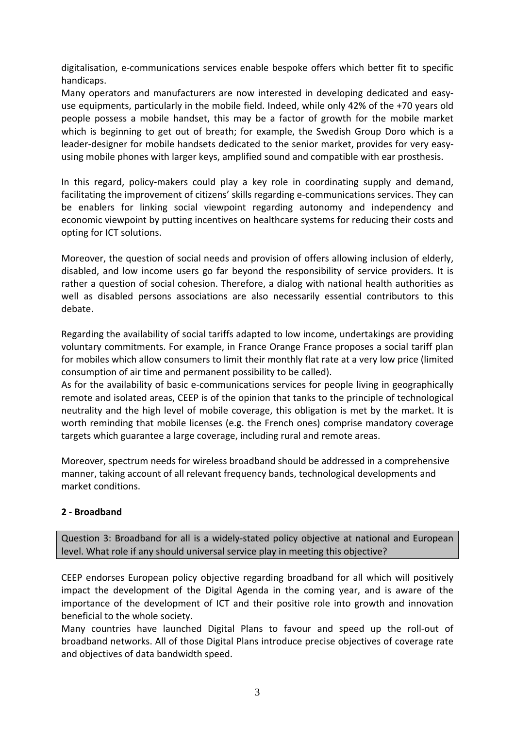digitalisation, e‐communications services enable bespoke offers which better fit to specific handicaps.

Many operators and manufacturers are now interested in developing dedicated and easy‐ use equipments, particularly in the mobile field. Indeed, while only 42% of the +70 years old people possess a mobile handset, this may be a factor of growth for the mobile market which is beginning to get out of breath; for example, the Swedish Group Doro which is a leader-designer for mobile handsets dedicated to the senior market, provides for very easyusing mobile phones with larger keys, amplified sound and compatible with ear prosthesis.

In this regard, policy-makers could play a key role in coordinating supply and demand, facilitating the improvement of citizens' skills regarding e‐communications services. They can be enablers for linking social viewpoint regarding autonomy and independency and economic viewpoint by putting incentives on healthcare systems for reducing their costs and opting for ICT solutions.

Moreover, the question of social needs and provision of offers allowing inclusion of elderly, disabled, and low income users go far beyond the responsibility of service providers. It is rather a question of social cohesion. Therefore, a dialog with national health authorities as well as disabled persons associations are also necessarily essential contributors to this debate.

Regarding the availability of social tariffs adapted to low income, undertakings are providing voluntary commitments. For example, in France Orange France proposes a social tariff plan for mobiles which allow consumers to limit their monthly flat rate at a very low price (limited consumption of air time and permanent possibility to be called).

As for the availability of basic e-communications services for people living in geographically remote and isolated areas, CEEP is of the opinion that tanks to the principle of technological neutrality and the high level of mobile coverage, this obligation is met by the market. It is worth reminding that mobile licenses (e.g. the French ones) comprise mandatory coverage targets which guarantee a large coverage, including rural and remote areas.

Moreover, spectrum needs for wireless broadband should be addressed in a comprehensive manner, taking account of all relevant frequency bands, technological developments and market conditions.

# **2 ‐ Broadband**

Question 3: Broadband for all is a widely‐stated policy objective at national and European level. What role if any should universal service play in meeting this objective?

CEEP endorses European policy objective regarding broadband for all which will positively impact the development of the Digital Agenda in the coming year, and is aware of the importance of the development of ICT and their positive role into growth and innovation beneficial to the whole society.

Many countries have launched Digital Plans to favour and speed up the roll‐out of broadband networks. All of those Digital Plans introduce precise objectives of coverage rate and objectives of data bandwidth speed.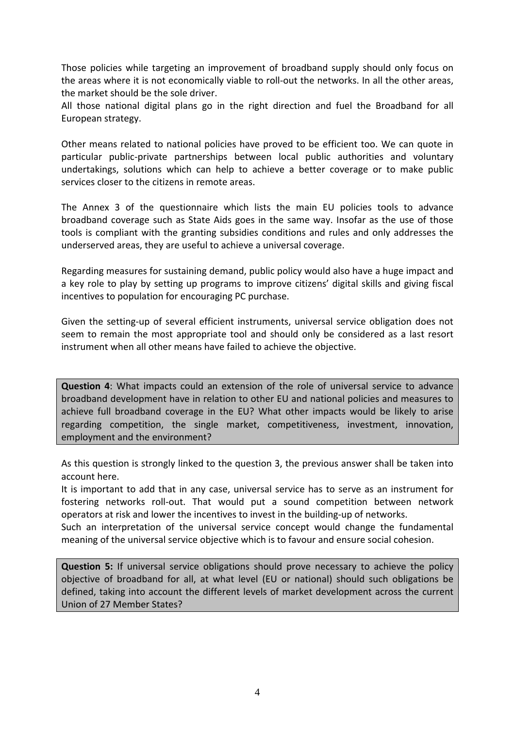Those policies while targeting an improvement of broadband supply should only focus on the areas where it is not economically viable to roll‐out the networks. In all the other areas, the market should be the sole driver.

All those national digital plans go in the right direction and fuel the Broadband for all European strategy.

Other means related to national policies have proved to be efficient too. We can quote in particular public‐private partnerships between local public authorities and voluntary undertakings, solutions which can help to achieve a better coverage or to make public services closer to the citizens in remote areas.

The Annex 3 of the questionnaire which lists the main EU policies tools to advance broadband coverage such as State Aids goes in the same way. Insofar as the use of those tools is compliant with the granting subsidies conditions and rules and only addresses the underserved areas, they are useful to achieve a universal coverage.

Regarding measures for sustaining demand, public policy would also have a huge impact and a key role to play by setting up programs to improve citizens' digital skills and giving fiscal incentives to population for encouraging PC purchase.

Given the setting‐up of several efficient instruments, universal service obligation does not seem to remain the most appropriate tool and should only be considered as a last resort instrument when all other means have failed to achieve the objective.

**Question 4**: What impacts could an extension of the role of universal service to advance broadband development have in relation to other EU and national policies and measures to achieve full broadband coverage in the EU? What other impacts would be likely to arise regarding competition, the single market, competitiveness, investment, innovation, employment and the environment?

As this question is strongly linked to the question 3, the previous answer shall be taken into account here.

It is important to add that in any case, universal service has to serve as an instrument for fostering networks roll‐out. That would put a sound competition between network operators at risk and lower the incentives to invest in the building‐up of networks.

Such an interpretation of the universal service concept would change the fundamental meaning of the universal service objective which is to favour and ensure social cohesion.

**Question 5:** If universal service obligations should prove necessary to achieve the policy objective of broadband for all, at what level (EU or national) should such obligations be defined, taking into account the different levels of market development across the current Union of 27 Member States?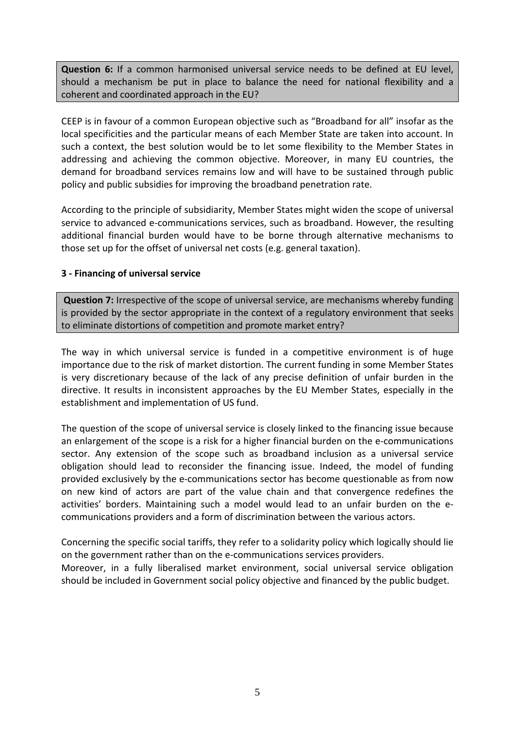**Question 6:** If a common harmonised universal service needs to be defined at EU level, should a mechanism be put in place to balance the need for national flexibility and a coherent and coordinated approach in the EU?

CEEP is in favour of a common European objective such as "Broadband for all" insofar as the local specificities and the particular means of each Member State are taken into account. In such a context, the best solution would be to let some flexibility to the Member States in addressing and achieving the common objective. Moreover, in many EU countries, the demand for broadband services remains low and will have to be sustained through public policy and public subsidies for improving the broadband penetration rate.

According to the principle of subsidiarity, Member States might widen the scope of universal service to advanced e-communications services, such as broadband. However, the resulting additional financial burden would have to be borne through alternative mechanisms to those set up for the offset of universal net costs (e.g. general taxation).

### **3 ‐ Financing of universal service**

**Question 7:** Irrespective of the scope of universal service, are mechanisms whereby funding is provided by the sector appropriate in the context of a regulatory environment that seeks to eliminate distortions of competition and promote market entry?

The way in which universal service is funded in a competitive environment is of huge importance due to the risk of market distortion. The current funding in some Member States is very discretionary because of the lack of any precise definition of unfair burden in the directive. It results in inconsistent approaches by the EU Member States, especially in the establishment and implementation of US fund.

The question of the scope of universal service is closely linked to the financing issue because an enlargement of the scope is a risk for a higher financial burden on the e-communications sector. Any extension of the scope such as broadband inclusion as a universal service obligation should lead to reconsider the financing issue. Indeed, the model of funding provided exclusively by the e‐communications sector has become questionable as from now on new kind of actors are part of the value chain and that convergence redefines the activities' borders. Maintaining such a model would lead to an unfair burden on the e‐ communications providers and a form of discrimination between the various actors.

Concerning the specific social tariffs, they refer to a solidarity policy which logically should lie on the government rather than on the e‐communications services providers.

Moreover, in a fully liberalised market environment, social universal service obligation should be included in Government social policy objective and financed by the public budget.